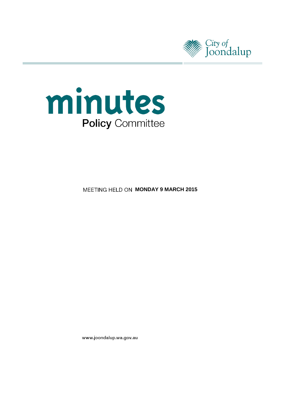



**MEETING HELD ON MONDAY 9 MARCH 2015** 

www.joondalup.wa.gov.au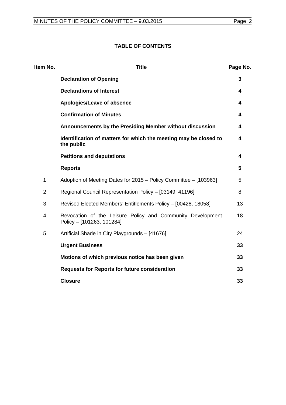# **TABLE OF CONTENTS**

| Item No.       | <b>Title</b>                                                                            | Page No. |
|----------------|-----------------------------------------------------------------------------------------|----------|
|                | <b>Declaration of Opening</b>                                                           | 3        |
|                | <b>Declarations of Interest</b>                                                         | 4        |
|                | Apologies/Leave of absence                                                              | 4        |
|                | <b>Confirmation of Minutes</b>                                                          | 4        |
|                | Announcements by the Presiding Member without discussion                                | 4        |
|                | Identification of matters for which the meeting may be closed to<br>the public          | 4        |
|                | <b>Petitions and deputations</b>                                                        | 4        |
|                | <b>Reports</b>                                                                          | 5        |
| $\mathbf{1}$   | Adoption of Meeting Dates for 2015 - Policy Committee - [103963]                        | 5        |
| $\overline{2}$ | Regional Council Representation Policy - [03149, 41196]                                 | 8        |
| 3              | Revised Elected Members' Entitlements Policy - [00428, 18058]                           | 13       |
| 4              | Revocation of the Leisure Policy and Community Development<br>Policy - [101263, 101284] | 18       |
| 5              | Artificial Shade in City Playgrounds - [41676]                                          | 24       |
|                | <b>Urgent Business</b>                                                                  | 33       |
|                | Motions of which previous notice has been given                                         | 33       |
|                | <b>Requests for Reports for future consideration</b>                                    | 33       |
|                | <b>Closure</b>                                                                          | 33       |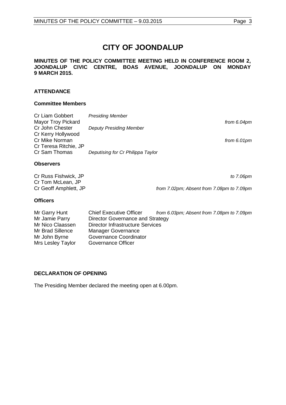# **CITY OF JOONDALUP**

#### **MINUTES OF THE POLICY COMMITTEE MEETING HELD IN CONFERENCE ROOM 2, JOONDALUP CIVIC CENTRE, BOAS AVENUE, JOONDALUP ON MONDAY 9 MARCH 2015.**

## **ATTENDANCE**

## **Committee Members**

| Cr Liam Gobbert<br><b>Mayor Troy Pickard</b> | <b>Presiding Member</b>           | from 6.04pm    |
|----------------------------------------------|-----------------------------------|----------------|
| Cr John Chester                              | <b>Deputy Presiding Member</b>    |                |
| Cr Kerry Hollywood                           |                                   |                |
| Cr Mike Norman<br>Cr Teresa Ritchie, JP      |                                   | from $6.01$ pm |
| Cr Sam Thomas                                | Deputising for Cr Philippa Taylor |                |
| <b>Observers</b>                             |                                   |                |

| Cr Russ Fishwick, JP  | to 7.06pm                                 |
|-----------------------|-------------------------------------------|
| Cr Tom McLean, JP     |                                           |
| Cr Geoff Amphlett, JP | from 7.02pm; Absent from 7.08pm to 7.09pm |

## **Officers**

| Mr Garry Hunt     | <b>Chief Executive Officer</b>   | from 6.03pm; Absent from 7.08pm to 7.09pm |
|-------------------|----------------------------------|-------------------------------------------|
| Mr Jamie Parry    | Director Governance and Strategy |                                           |
| Mr Nico Claassen  | Director Infrastructure Services |                                           |
| Mr Brad Sillence  | Manager Governance               |                                           |
| Mr John Byrne     | Governance Coordinator           |                                           |
| Mrs Lesley Taylor | Governance Officer               |                                           |

## <span id="page-2-0"></span>**DECLARATION OF OPENING**

The Presiding Member declared the meeting open at 6.00pm.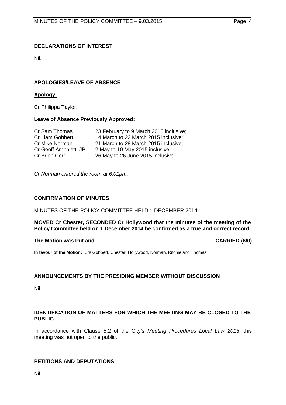## <span id="page-3-0"></span>**DECLARATIONS OF INTEREST**

Nil.

## <span id="page-3-1"></span>**APOLOGIES/LEAVE OF ABSENCE**

## **Apology:**

Cr Philippa Taylor.

#### **Leave of Absence Previously Approved:**

| Cr Sam Thomas         | 23 February to 9 March 2015 inclusive; |
|-----------------------|----------------------------------------|
| Cr Liam Gobbert       | 14 March to 22 March 2015 inclusive;   |
| Cr Mike Norman        | 21 March to 28 March 2015 inclusive;   |
| Cr Geoff Amphlett, JP | 2 May to 10 May 2015 inclusive;        |
| Cr Brian Corr         | 26 May to 26 June 2015 inclusive.      |

*Cr Norman entered the room at 6.01pm.*

#### <span id="page-3-2"></span>**CONFIRMATION OF MINUTES**

#### MINUTES OF THE POLICY COMMITTEE HELD 1 DECEMBER 2014

**MOVED Cr Chester, SECONDED Cr Hollywood that the minutes of the meeting of the Policy Committee held on 1 December 2014 be confirmed as a true and correct record.**

## **The Motion was Put and CARRIED (6/0)**

**In favour of the Motion:** Crs Gobbert, Chester, Hollywood, Norman, Ritchie and Thomas.

## <span id="page-3-3"></span>**ANNOUNCEMENTS BY THE PRESIDING MEMBER WITHOUT DISCUSSION**

Nil.

## <span id="page-3-4"></span>**IDENTIFICATION OF MATTERS FOR WHICH THE MEETING MAY BE CLOSED TO THE PUBLIC**

In accordance with Clause 5.2 of the City's *Meeting Procedures Local Law 2013*, this meeting was not open to the public.

## <span id="page-3-5"></span>**PETITIONS AND DEPUTATIONS**

Nil.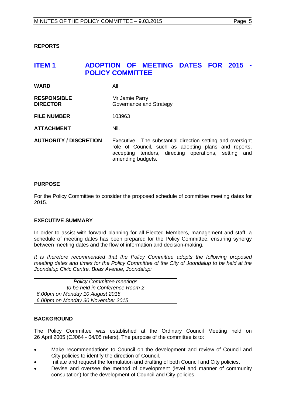<span id="page-4-0"></span>**REPORTS**

# <span id="page-4-1"></span>**ITEM 1 ADOPTION OF MEETING DATES FOR 2015 - POLICY COMMITTEE**

| <b>WARD</b>                           | All                                                                                                                                                                                              |
|---------------------------------------|--------------------------------------------------------------------------------------------------------------------------------------------------------------------------------------------------|
| <b>RESPONSIBLE</b><br><b>DIRECTOR</b> | Mr Jamie Parry<br>Governance and Strategy                                                                                                                                                        |
| <b>FILE NUMBER</b>                    | 103963                                                                                                                                                                                           |
| <b>ATTACHMENT</b>                     | Nil.                                                                                                                                                                                             |
| <b>AUTHORITY / DISCRETION</b>         | Executive - The substantial direction setting and oversight<br>role of Council, such as adopting plans and reports,<br>accepting tenders, directing operations, setting and<br>amending budgets. |

## **PURPOSE**

For the Policy Committee to consider the proposed schedule of committee meeting dates for 2015.

## **EXECUTIVE SUMMARY**

In order to assist with forward planning for all Elected Members, management and staff, a schedule of meeting dates has been prepared for the Policy Committee, ensuring synergy between meeting dates and the flow of information and decision-making.

*It is therefore recommended that the Policy Committee adopts the following proposed meeting dates and times for the Policy Committee of the City of Joondalup to be held at the Joondalup Civic Centre, Boas Avenue, Joondalup:*

| <b>Policy Committee meetings</b>  |
|-----------------------------------|
| to be held in Conference Room 2   |
| 6.00pm on Monday 10 August 2015   |
| 6.00pm on Monday 30 November 2015 |

## **BACKGROUND**

The Policy Committee was established at the Ordinary Council Meeting held on 26 April 2005 (CJ064 - 04/05 refers). The purpose of the committee is to:

- Make recommendations to Council on the development and review of Council and City policies to identify the direction of Council.
- Initiate and request the formulation and drafting of both Council and City policies.
- Devise and oversee the method of development (level and manner of community consultation) for the development of Council and City policies.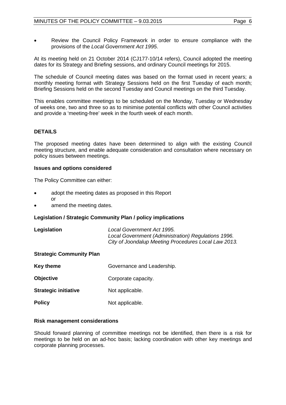• Review the Council Policy Framework in order to ensure compliance with the provisions of the *Local Government Act 1995*.

At its meeting held on 21 October 2014 (CJ177-10/14 refers), Council adopted the meeting dates for its Strategy and Briefing sessions, and ordinary Council meetings for 2015.

The schedule of Council meeting dates was based on the format used in recent years; a monthly meeting format with Strategy Sessions held on the first Tuesday of each month; Briefing Sessions held on the second Tuesday and Council meetings on the third Tuesday.

This enables committee meetings to be scheduled on the Monday, Tuesday or Wednesday of weeks one, two and three so as to minimise potential conflicts with other Council activities and provide a 'meeting-free' week in the fourth week of each month.

## **DETAILS**

The proposed meeting dates have been determined to align with the existing Council meeting structure, and enable adequate consideration and consultation where necessary on policy issues between meetings.

#### **Issues and options considered**

The Policy Committee can either:

- adopt the meeting dates as proposed in this Report or
- amend the meeting dates.

## **Legislation / Strategic Community Plan / policy implications**

| Legislation | Local Government Act 1995.                           |
|-------------|------------------------------------------------------|
|             | Local Government (Administration) Regulations 1996.  |
|             | City of Joondalup Meeting Procedures Local Law 2013. |

#### **Strategic Community Plan**

| Key theme                   | Governance and Leadership. |
|-----------------------------|----------------------------|
| Objective                   | Corporate capacity.        |
| <b>Strategic initiative</b> | Not applicable.            |
| Policy                      | Not applicable.            |

#### **Risk management considerations**

Should forward planning of committee meetings not be identified, then there is a risk for meetings to be held on an ad-hoc basis; lacking coordination with other key meetings and corporate planning processes.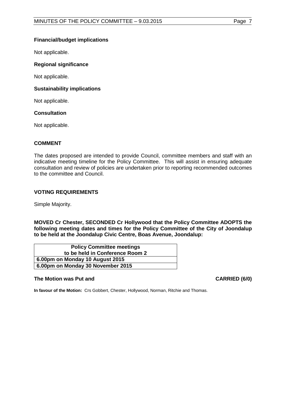## **Financial/budget implications**

Not applicable.

## **Regional significance**

Not applicable.

## **Sustainability implications**

Not applicable.

## **Consultation**

Not applicable.

## **COMMENT**

The dates proposed are intended to provide Council, committee members and staff with an indicative meeting timeline for the Policy Committee. This will assist in ensuring adequate consultation and review of policies are undertaken prior to reporting recommended outcomes to the committee and Council.

## **VOTING REQUIREMENTS**

Simple Majority.

**MOVED Cr Chester, SECONDED Cr Hollywood that the Policy Committee ADOPTS the following meeting dates and times for the Policy Committee of the City of Joondalup to be held at the Joondalup Civic Centre, Boas Avenue, Joondalup:**

| <b>Policy Committee meetings</b>  |
|-----------------------------------|
| to be held in Conference Room 2   |
| 6.00pm on Monday 10 August 2015   |
| 6.00pm on Monday 30 November 2015 |

## **The Motion was Put and CARRIED (6/0)**

**In favour of the Motion:** Crs Gobbert, Chester, Hollywood, Norman, Ritchie and Thomas.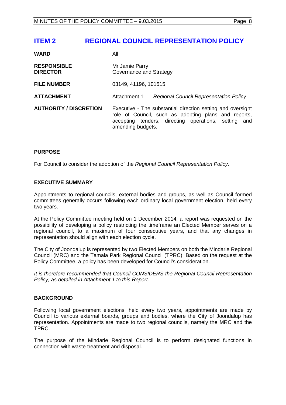# <span id="page-7-0"></span>**ITEM 2 REGIONAL COUNCIL REPRESENTATION POLICY**

| <b>WARD</b>                           | All                                                                                                                                                                                              |
|---------------------------------------|--------------------------------------------------------------------------------------------------------------------------------------------------------------------------------------------------|
| <b>RESPONSIBLE</b><br><b>DIRECTOR</b> | Mr Jamie Parry<br>Governance and Strategy                                                                                                                                                        |
| <b>FILE NUMBER</b>                    | 03149, 41196, 101515                                                                                                                                                                             |
| <b>ATTACHMENT</b>                     | Attachment 1<br><b>Regional Council Representation Policy</b>                                                                                                                                    |
| <b>AUTHORITY / DISCRETION</b>         | Executive - The substantial direction setting and oversight<br>role of Council, such as adopting plans and reports,<br>accepting tenders, directing operations, setting and<br>amending budgets. |

## **PURPOSE**

For Council to consider the adoption of the *Regional Council Representation Policy.* 

## **EXECUTIVE SUMMARY**

Appointments to regional councils, external bodies and groups, as well as Council formed committees generally occurs following each ordinary local government election, held every two years.

At the Policy Committee meeting held on 1 December 2014, a report was requested on the possibility of developing a policy restricting the timeframe an Elected Member serves on a regional council, to a maximum of four consecutive years, and that any changes in representation should align with each election cycle.

The City of Joondalup is represented by two Elected Members on both the Mindarie Regional Council (MRC) and the Tamala Park Regional Council (TPRC). Based on the request at the Policy Committee, a policy has been developed for Council's consideration.

*It is therefore recommended that Council CONSIDERS the Regional Council Representation Policy, as detailed in Attachment 1 to this Report.* 

## **BACKGROUND**

Following local government elections, held every two years, appointments are made by Council to various external boards, groups and bodies, where the City of Joondalup has representation. Appointments are made to two regional councils, namely the MRC and the TPRC.

The purpose of the Mindarie Regional Council is to perform designated functions in connection with waste treatment and disposal.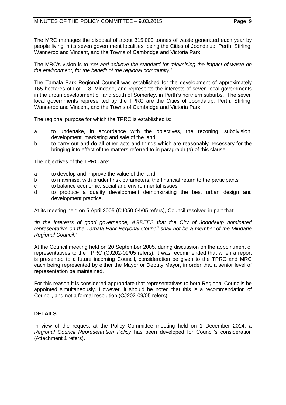The MRC manages the disposal of about 315,000 tonnes of waste generated each year by people living in its seven government localities, being the Cities of Joondalup, Perth, Stirling, Wanneroo and Vincent, and the Towns of Cambridge and Victoria Park.

The MRC's vision is to *'set and achieve the standard for minimising the impact of waste on the environment, for the benefit of the regional community.'*

The Tamala Park Regional Council was established for the development of approximately 165 hectares of Lot 118, Mindarie, and represents the interests of seven local governments in the urban development of land south of Somerley, in Perth's northern suburbs. The seven local governments represented by the TPRC are the Cities of Joondalup, Perth, Stirling, Wanneroo and Vincent, and the Towns of Cambridge and Victoria Park.

The regional purpose for which the TPRC is established is:

- a to undertake, in accordance with the objectives, the rezoning, subdivision, development, marketing and sale of the land
- b to carry out and do all other acts and things which are reasonably necessary for the bringing into effect of the matters referred to in paragraph (a) of this clause.

The objectives of the TPRC are:

- a to develop and improve the value of the land
- b to maximise, with prudent risk parameters, the financial return to the participants
- c to balance economic, social and environmental issues<br>d to produce a quality development demonstrating
- to produce a quality development demonstrating the best urban design and development practice.

At its meeting held on 5 April 2005 (CJ050-04/05 refers), Council resolved in part that:

*"in the interests of good governance, AGREES that the City of Joondalup nominated representative on the Tamala Park Regional Council shall not be a member of the Mindarie Regional Council."*

At the Council meeting held on 20 September 2005, during discussion on the appointment of representatives to the TPRC (CJ202-09/05 refers), it was recommended that when a report is presented to a future incoming Council, consideration be given to the TPRC and MRC each being represented by either the Mayor or Deputy Mayor, in order that a senior level of representation be maintained.

For this reason it is considered appropriate that representatives to both Regional Councils be appointed simultaneously. However, it should be noted that this is a recommendation of Council, and not a formal resolution (CJ202-09/05 refers).

## **DETAILS**

In view of the request at the Policy Committee meeting held on 1 December 2014, a *Regional Council Representation Policy* has been developed for Council's consideration (Attachment 1 refers).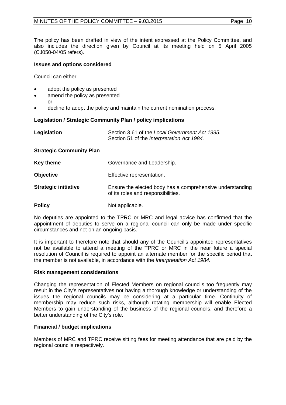The policy has been drafted in view of the intent expressed at the Policy Committee, and also includes the direction given by Council at its meeting held on 5 April 2005 (CJ050-04/05 refers).

#### **Issues and options considered**

Council can either:

or

- adopt the policy as presented
- amend the policy as presented
- decline to adopt the policy and maintain the current nomination process.

#### **Legislation / Strategic Community Plan / policy implications**

| Legislation                     | Section 3.61 of the Local Government Act 1995.<br>Section 51 of the Interpretation Act 1984.    |
|---------------------------------|-------------------------------------------------------------------------------------------------|
| <b>Strategic Community Plan</b> |                                                                                                 |
| <b>Key theme</b>                | Governance and Leadership.                                                                      |
| <b>Objective</b>                | Effective representation.                                                                       |
| <b>Strategic initiative</b>     | Ensure the elected body has a comprehensive understanding<br>of its roles and responsibilities. |
| <b>Policy</b>                   | Not applicable.                                                                                 |

No deputies are appointed to the TPRC or MRC and legal advice has confirmed that the appointment of deputies to serve on a regional council can only be made under specific circumstances and not on an ongoing basis.

It is important to therefore note that should any of the Council's appointed representatives not be available to attend a meeting of the TPRC or MRC in the near future a special resolution of Council is required to appoint an alternate member for the specific period that the member is not available, in accordance with the *Interpretation Act 1984*.

#### **Risk management considerations**

Changing the representation of Elected Members on regional councils too frequently may result in the City's representatives not having a thorough knowledge or understanding of the issues the regional councils may be considering at a particular time. Continuity of membership may reduce such risks, although rotating membership will enable Elected Members to gain understanding of the business of the regional councils, and therefore a better understanding of the City's role.

## **Financial / budget implications**

Members of MRC and TPRC receive sitting fees for meeting attendance that are paid by the regional councils respectively.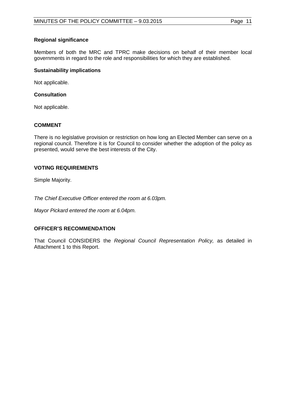## **Regional significance**

Members of both the MRC and TPRC make decisions on behalf of their member local governments in regard to the role and responsibilities for which they are established.

## **Sustainability implications**

Not applicable.

## **Consultation**

Not applicable.

## **COMMENT**

There is no legislative provision or restriction on how long an Elected Member can serve on a regional council. Therefore it is for Council to consider whether the adoption of the policy as presented, would serve the best interests of the City.

## **VOTING REQUIREMENTS**

Simple Majority.

*The Chief Executive Officer entered the room at 6.03pm.*

*Mayor Pickard entered the room at 6.04pm.*

## **OFFICER'S RECOMMENDATION**

That Council CONSIDERS the *Regional Council Representation Policy,* as detailed in Attachment 1 to this Report.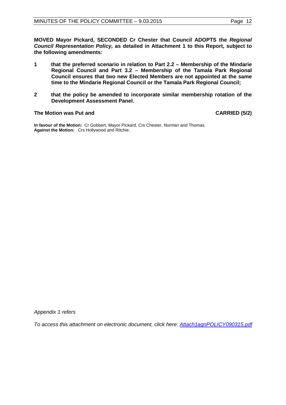**MOVED Mayor Pickard, SECONDED Cr Chester that Council ADOPTS the** *Regional Council Representation Policy,* **as detailed in Attachment 1 to this Report, subject to the following amendments:**

- **1 that the preferred scenario in relation to Part 2.2 – Membership of the Mindarie Regional Council and Part 3.2 – Membership of the Tamala Park Regional Council ensures that two new Elected Members are not appointed at the same time to the Mindarie Regional Council or the Tamala Park Regional Council;**
- **2 that the policy be amended to incorporate similar membership rotation of the Development Assessment Panel.**

#### The Motion was Put and **CARRIED** (5/2)

**In favour of the Motion:** Cr Gobbert, Mayor Pickard, Crs Chester, Norman and Thomas. **Against the Motion:** Crs Hollywood and Ritchie.

*Appendix 1 refers*

*To access this attachment on electronic document, click here: [Attach1agnPOLICY090315.pdf](http://www.joondalup.wa.gov.au/files/committees/POLI/2015/Attach1agnPOLICY090315.pdf)*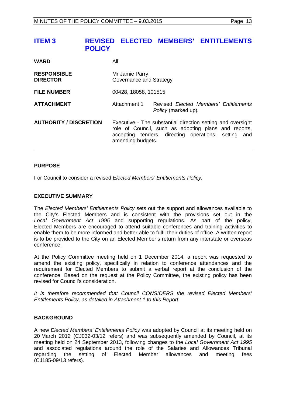<span id="page-12-0"></span>

| <b>WARD</b>                           | All                                       |                                                                                                                                                                             |
|---------------------------------------|-------------------------------------------|-----------------------------------------------------------------------------------------------------------------------------------------------------------------------------|
| <b>RESPONSIBLE</b><br><b>DIRECTOR</b> | Mr Jamie Parry<br>Governance and Strategy |                                                                                                                                                                             |
| <b>FILE NUMBER</b>                    | 00428, 18058, 101515                      |                                                                                                                                                                             |
| <b>ATTACHMENT</b>                     | Attachment 1                              | Revised Elected Members' Entitlements<br><i>Policy</i> (marked up).                                                                                                         |
| <b>AUTHORITY / DISCRETION</b>         | amending budgets.                         | Executive - The substantial direction setting and oversight<br>role of Council, such as adopting plans and reports,<br>accepting tenders, directing operations, setting and |

## **PURPOSE**

For Council to consider a revised *Elected Members' Entitlements Policy.* 

## **EXECUTIVE SUMMARY**

The *Elected Members' Entitlements Policy* sets out the support and allowances available to the City's Elected Members and is consistent with the provisions set out in the *Local Government Act 1995* and supporting regulations. As part of the policy, Elected Members are encouraged to attend suitable conferences and training activities to enable them to be more informed and better able to fulfil their duties of office. A written report is to be provided to the City on an Elected Member's return from any interstate or overseas conference.

At the Policy Committee meeting held on 1 December 2014, a report was requested to amend the existing policy, specifically in relation to conference attendances and the requirement for Elected Members to submit a verbal report at the conclusion of the conference. Based on the request at the Policy Committee, the existing policy has been revised for Council's consideration.

*It is therefore recommended that Council CONSIDERS the revised Elected Members' Entitlements Policy, as detailed in Attachment 1 to this Report.* 

## **BACKGROUND**

A new *Elected Members' Entitlements Policy* was adopted by Council at its meeting held on 20 March 2012 (CJ032-03/12 refers) and was subsequently amended by Council, at its meeting held on 24 September 2013, following changes to the *Local Government Act 1995*  and associated regulations around the role of the Salaries and Allowances Tribunal regarding the setting of Elected Member allowances and meeting fees (CJ185-09/13 refers).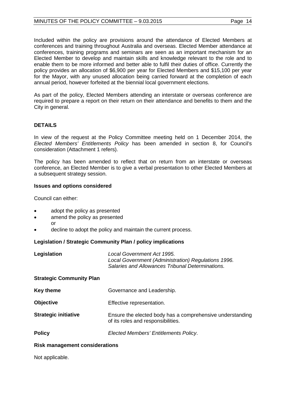Included within the policy are provisions around the attendance of Elected Members at conferences and training throughout Australia and overseas. Elected Member attendance at conferences, training programs and seminars are seen as an important mechanism for an Elected Member to develop and maintain skills and knowledge relevant to the role and to enable them to be more informed and better able to fulfil their duties of office. Currently the policy provides an allocation of \$6,900 per year for Elected Members and \$15,100 per year for the Mayor, with any unused allocation being carried forward at the completion of each annual period, however forfeited at the biennial local government elections.

As part of the policy, Elected Members attending an interstate or overseas conference are required to prepare a report on their return on their attendance and benefits to them and the City in general.

## **DETAILS**

In view of the request at the Policy Committee meeting held on 1 December 2014, the *Elected Members' Entitlements Policy* has been amended in section 8, for Council's consideration (Attachment 1 refers).

The policy has been amended to reflect that on return from an interstate or overseas conference, an Elected Member is to give a verbal presentation to other Elected Members at a subsequent strategy session.

## **Issues and options considered**

Council can either:

- adopt the policy as presented
- amend the policy as presented
- or
- decline to adopt the policy and maintain the current process.

## **Legislation / Strategic Community Plan / policy implications**

| Legislation                     | Local Government Act 1995.<br>Local Government (Administration) Regulations 1996.<br>Salaries and Allowances Tribunal Determinations. |  |
|---------------------------------|---------------------------------------------------------------------------------------------------------------------------------------|--|
| <b>Strategic Community Plan</b> |                                                                                                                                       |  |
| <b>Key theme</b>                | Governance and Leadership.                                                                                                            |  |
| <b>Objective</b>                | Effective representation.                                                                                                             |  |
| <b>Strategic initiative</b>     | Ensure the elected body has a comprehensive understanding<br>of its roles and responsibilities.                                       |  |
| <b>Policy</b>                   | Elected Members' Entitlements Policy.                                                                                                 |  |

## **Risk management considerations**

Not applicable.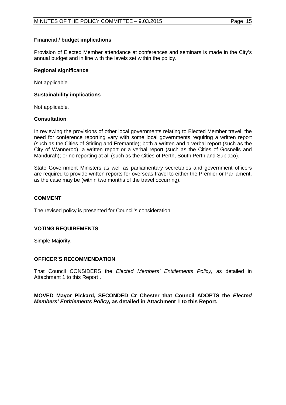## **Financial / budget implications**

Provision of Elected Member attendance at conferences and seminars is made in the City's annual budget and in line with the levels set within the policy.

## **Regional significance**

Not applicable.

## **Sustainability implications**

Not applicable.

#### **Consultation**

In reviewing the provisions of other local governments relating to Elected Member travel, the need for conference reporting vary with some local governments requiring a written report (such as the Cities of Stirling and Fremantle); both a written and a verbal report (such as the City of Wanneroo), a written report or a verbal report (such as the Cities of Gosnells and Mandurah); or no reporting at all (such as the Cities of Perth, South Perth and Subiaco).

State Government Ministers as well as parliamentary secretaries and government officers are required to provide written reports for overseas travel to either the Premier or Parliament, as the case may be (within two months of the travel occurring).

## **COMMENT**

The revised policy is presented for Council's consideration.

## **VOTING REQUIREMENTS**

Simple Majority.

## **OFFICER'S RECOMMENDATION**

That Council CONSIDERS the *Elected Members' Entitlements Policy,* as detailed in Attachment 1 to this Report .

**MOVED Mayor Pickard, SECONDED Cr Chester that Council ADOPTS the** *Elected Members' Entitlements Policy,* **as detailed in Attachment 1 to this Report.**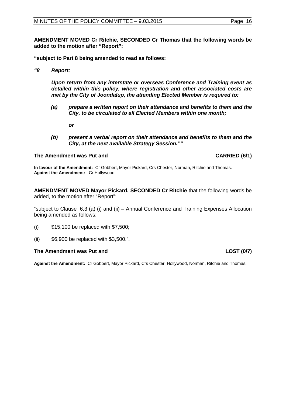**AMENDMENT MOVED Cr Ritchie, SECONDED Cr Thomas that the following words be added to the motion after "Report":**

**"subject to Part 8 being amended to read as follows:**

*"8 Report:*

*Upon return from any interstate or overseas Conference and Training event as detailed within this policy, where registration and other associated costs are met by the City of Joondalup, the attending Elected Member is required to:*

*(a) prepare a written report on their attendance and benefits to them and the City, to be circulated to all Elected Members within one month;*

*or*

*(b) present a verbal report on their attendance and benefits to them and the City, at the next available Strategy Session.""*

#### The Amendment was Put and **CARRIED (6/1)**

**In favour of the Amendment:** Cr Gobbert, Mayor Pickard, Crs Chester, Norman, Ritchie and Thomas. **Against the Amendment:** Cr Hollywood.

**AMENDMENT MOVED Mayor Pickard, SECONDED Cr Ritchie** that the following words be added, to the motion after "Report":

"subject to Clause 6.3 (a) (i) and (ii) – Annual Conference and Training Expenses Allocation being amended as follows:

- (i) \$15,100 be replaced with \$7,500;
- (ii) \$6,900 be replaced with \$3,500.".

#### **The Amendment was Put and LOST (0/7) LOST (0/7)**

**Against the Amendment:** Cr Gobbert, Mayor Pickard, Crs Chester, Hollywood, Norman, Ritchie and Thomas.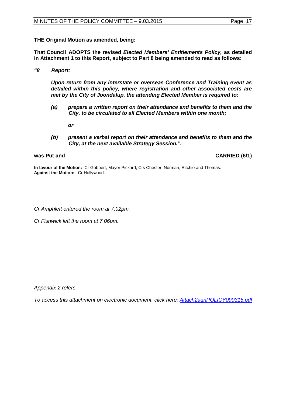**THE Original Motion as amended, being:**

**That Council ADOPTS the revised** *Elected Members' Entitlements Policy,* **as detailed in Attachment 1 to this Report, subject to Part 8 being amended to read as follows:**

*"8 Report:*

*Upon return from any interstate or overseas Conference and Training event as detailed within this policy, where registration and other associated costs are met by the City of Joondalup, the attending Elected Member is required to:*

*(a) prepare a written report on their attendance and benefits to them and the City, to be circulated to all Elected Members within one month;*

*or*

*(b) present a verbal report on their attendance and benefits to them and the City, at the next available Strategy Session.".*

was Put and **CARRIED** (6/1)

**In favour of the Motion:** Cr Gobbert, Mayor Pickard, Crs Chester, Norman, Ritchie and Thomas. **Against the Motion:** Cr Hollywood.

*Cr Amphlett entered the room at 7.02pm.*

*Cr Fishwick left the room at 7.06pm.*

*Appendix 2 refers*

*To access this attachment on electronic document, click here: [Attach2agnPOLICY090315.pdf](http://www.joondalup.wa.gov.au/files/committees/POLI/2015/Attach2agnPOLICY090315.pdf)*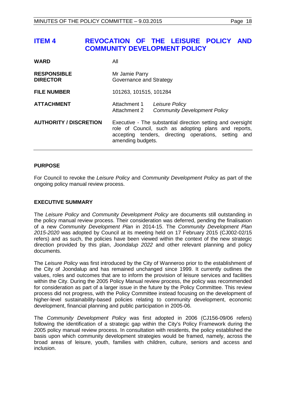# <span id="page-17-0"></span>**ITEM 4 REVOCATION OF THE LEISURE POLICY AND COMMUNITY DEVELOPMENT POLICY**

| <b>WARD</b>                           | All                                                                                                                                                                                                 |                                                       |
|---------------------------------------|-----------------------------------------------------------------------------------------------------------------------------------------------------------------------------------------------------|-------------------------------------------------------|
| <b>RESPONSIBLE</b><br><b>DIRECTOR</b> | Mr Jamie Parry<br>Governance and Strategy                                                                                                                                                           |                                                       |
| <b>FILE NUMBER</b>                    | 101263, 101515, 101284                                                                                                                                                                              |                                                       |
| <b>ATTACHMENT</b>                     | Attachment 1<br>Attachment 2                                                                                                                                                                        | Leisure Policy<br><b>Community Development Policy</b> |
| <b>AUTHORITY / DISCRETION</b>         | Executive - The substantial direction setting and oversight<br>role of Council, such as adopting plans and reports,<br>accepting tenders, directing operations, setting<br>and<br>amending budgets. |                                                       |

## **PURPOSE**

For Council to revoke the *Leisure Policy* and *Community Development Policy* as part of the ongoing policy manual review process.

## **EXECUTIVE SUMMARY**

The *Leisure Policy* and *Community Development Policy* are documents still outstanding in the policy manual review process. Their consideration was deferred, pending the finalisation of a new *Community Development Plan* in 2014-15. The *Community Development Plan 2015-2020* was adopted by Council at its meeting held on 17 February 2015 (CJ002-02/15 refers) and as such, the policies have been viewed within the context of the new strategic direction provided by this plan, *Joondalup 2022* and other relevant planning and policy documents.

The *Leisure Policy* was first introduced by the City of Wanneroo prior to the establishment of the City of Joondalup and has remained unchanged since 1999. It currently outlines the values, roles and outcomes that are to inform the provision of leisure services and facilities within the City. During the 2005 Policy Manual review process, the policy was recommended for consideration as part of a larger issue in the future by the Policy Committee. This review process did not progress, with the Policy Committee instead focusing on the development of higher-level sustainability-based policies relating to community development, economic development, financial planning and public participation in 2005-06.

The *Community Development Policy* was first adopted in 2006 (CJ156-09/06 refers) following the identification of a strategic gap within the City's Policy Framework during the 2005 policy manual review process. In consultation with residents, the policy established the basis upon which community development strategies would be framed, namely, across the broad areas of leisure, youth, families with children, culture, seniors and access and inclusion.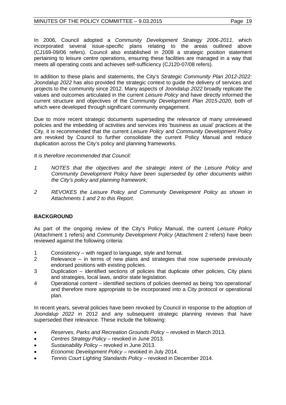In 2006, Council adopted a *Community Development Strategy 2006-2011*, which incorporated several issue-specific plans relating to the areas outlined above (CJ169-09/06 refers). Council also established in 2008 a strategic position statement pertaining to leisure centre operations, ensuring these facilities are managed in a way that meets all operating costs and achieves self-sufficiency (CJ120-07/08 refers).

In addition to these plans and statements, the City's *Strategic Community Plan 2012-2022: Joondalup 2022* has also provided the strategic context to guide the delivery of services and projects to the community since 2012. Many aspects of *Joondalup 2022* broadly replicate the values and outcomes articulated in the current *Leisure Policy* and have directly informed the current structure and objectives of the *Community Development Plan 2015-2020,* both of which were developed through significant community engagement.

Due to more recent strategic documents superseding the relevance of many unreviewed policies and the imbedding of activities and services into 'business as usual' practices at the City, it is recommended that the current *Leisure Policy* and *Community Development Policy* are revoked by Council to further consolidate the current Policy Manual and reduce duplication across the City's policy and planning frameworks.

## *It is therefore recommended that Council:*

- *1 NOTES that the objectives and the strategic intent of the Leisure Policy and Community Development Policy have been superseded by other documents within the City's policy and planning framework;*
- *2 REVOKES the Leisure Policy and Community Development Policy as shown in Attachments 1 and 2 to this Report.*

## **BACKGROUND**

As part of the ongoing review of the City's Policy Manual, the current *Leisure Policy* (Attachment 1 refers) and *Community Development Policy* (Attachment 2 refers) have been reviewed against the following criteria:

- 1 Consistency with regard to language, style and format.<br>2 Relevance in terms of new plans and strategies tha
- Relevance in terms of new plans and strategies that now supersede previously endorsed positions with existing policies.
- 3 Duplication identified sections of policies that duplicate other policies, City plans and strategies, local laws, and/or state legislation.
- 4 Operational content identified sections of policies deemed as being 'too operational' and therefore more appropriate to be incorporated into a City protocol or operational plan.

In recent years, several policies have been revoked by Council in response to the adoption of *Joondalup 2022* in 2012 and any subsequent strategic planning reviews that have superseded their relevance. These include the following:

- *Reserves, Parks and Recreation Grounds Policy* revoked in March 2013.
- *Centres Strategy Policy* revoked in June 2013.
- *Sustainability Policy –* revoked in June 2013.
- *Economic Development Policy* revoked in July 2014.
- *Tennis Court Lighting Standards Policy* revoked in December 2014.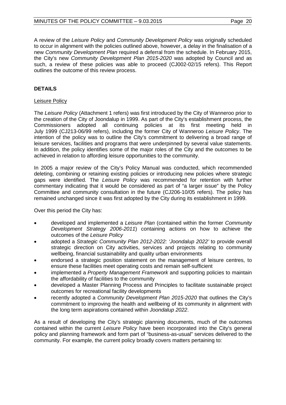A review of the *Leisure Policy* and *Community Development Policy* was originally scheduled to occur in alignment with the policies outlined above, however, a delay in the finalisation of a new *Community Development Plan* required a deferral from the schedule. In February 2015, the City's new *Community Development Plan 2015-2020* was adopted by Council and as such, a review of these policies was able to proceed (CJ002-02/15 refers). This Report outlines the outcome of this review process.

## **DETAILS**

## Leisure Policy

The *Leisure Policy* (Attachment 1 refers) was first introduced by the City of Wanneroo prior to the creation of the City of Joondalup in 1999. As part of the City's establishment process, the Commissioners adopted all continuing policies at its first meeting held in Commissioners adopted all continuing policies at its first meeting July 1999 (CJ213-06/99 refers), including the former City of Wanneroo *Leisure Policy*. The intention of the policy was to outline the City's commitment to delivering a broad range of leisure services, facilities and programs that were underpinned by several value statements. In addition, the policy identifies some of the major roles of the City and the outcomes to be achieved in relation to affording leisure opportunities to the community.

In 2005 a major review of the City's Policy Manual was conducted, which recommended deleting, combining or retaining existing policies or introducing new policies where strategic gaps were identified. The *Leisure Policy* was recommended for retention with further commentary indicating that it would be considered as part of "a larger issue" by the Policy Committee and community consultation in the future (CJ206-10/05 refers). The policy has remained unchanged since it was first adopted by the City during its establishment in 1999.

Over this period the City has:

- developed and implemented a *Leisure Plan* (contained within the former *Community Development Strategy 2006-2011*) containing actions on how to achieve the outcomes of the *Leisure Policy*
- adopted a *Strategic Community Plan 2012-2022: 'Joondalup 2022'* to provide overall strategic direction on City activities, services and projects relating to community wellbeing, financial sustainability and quality urban environments
- endorsed a strategic position statement on the management of leisure centres, to ensure these facilities meet operating costs and remain self-sufficient
- implemented a *Property Management Framework* and supporting policies to maintain the affordability of facilities to the community
- developed a Master Planning Process and Principles to facilitate sustainable project outcomes for recreational facility developments
- recently adopted a *Community Development Plan 2015-2020* that outlines the City's commitment to improving the health and wellbeing of its community in alignment with the long term aspirations contained within *Joondalup 2022*.

As a result of developing the City's strategic planning documents, much of the outcomes contained within the current *Leisure Policy* have been incorporated into the City's general policy and planning framework and form part of "business-as-usual" services delivered to the community. For example, the current policy broadly covers matters pertaining to: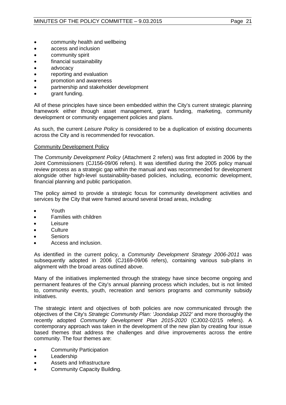- community health and wellbeing
- access and inclusion
- community spirit
- financial sustainability
- advocacy
- reporting and evaluation
- promotion and awareness
- partnership and stakeholder development
- grant funding.

All of these principles have since been embedded within the City's current strategic planning framework either through asset management, grant funding, marketing, community development or community engagement policies and plans.

As such, the current *Leisure Policy* is considered to be a duplication of existing documents across the City and is recommended for revocation.

## Community Development Policy

The *Community Development Policy* (Attachment 2 refers) was first adopted in 2006 by the Joint Commissioners (CJ156-09/06 refers). It was identified during the 2005 policy manual review process as a strategic gap within the manual and was recommended for development alongside other high-level sustainability-based policies, including, economic development, financial planning and public participation.

The policy aimed to provide a strategic focus for community development activities and services by the City that were framed around several broad areas, including:

- Youth
- Families with children
- Leisure
- Culture
- Seniors
- Access and inclusion.

As identified in the current policy, a *Community Development Strategy 2006-2011* was subsequently adopted in 2006 (CJ169-09/06 refers), containing various sub-plans in alignment with the broad areas outlined above.

Many of the initiatives implemented through the strategy have since become ongoing and permanent features of the City's annual planning process which includes, but is not limited to, community events, youth, recreation and seniors programs and community subsidy initiatives.

The strategic intent and objectives of both policies are now communicated through the objectives of the City's *Strategic Community Plan: 'Joondalup 2022'* and more thoroughly the recently adopted *Community Development Plan 2015-2020* (CJ002-02/15 refers). A contemporary approach was taken in the development of the new plan by creating four issue based themes that address the challenges and drive improvements across the entire community. The four themes are:

- Community Participation
- **Leadership**
- Assets and Infrastructure
- Community Capacity Building.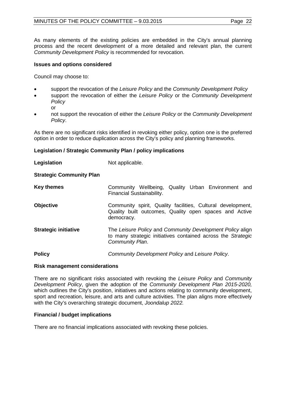## MINUTES OF THE POLICY COMMITTEE – 9.03.2015 Page 22

As many elements of the existing policies are embedded in the City's annual planning process and the recent development of a more detailed and relevant plan, the current *Community Development Policy* is recommended for revocation.

## **Issues and options considered**

Council may choose to:

- support the revocation of the *Leisure Policy* and the *Community Development Policy*
- support the revocation of either the *Leisure Policy* or the *Community Development Policy* or
- not support the revocation of either the *Leisure Policy* or the *Community Development Policy*.

As there are no significant risks identified in revoking either policy, option one is the preferred option in order to reduce duplication across the City's policy and planning frameworks.

#### **Legislation / Strategic Community Plan / policy implications**

| Legislation                     | Not applicable.                                                                                                                              |  |  |
|---------------------------------|----------------------------------------------------------------------------------------------------------------------------------------------|--|--|
| <b>Strategic Community Plan</b> |                                                                                                                                              |  |  |
| <b>Key themes</b>               | Community Wellbeing, Quality Urban Environment and<br>Financial Sustainability.                                                              |  |  |
| <b>Objective</b>                | Community spirit, Quality facilities, Cultural development,<br>Quality built outcomes, Quality open spaces and Active<br>democracy.          |  |  |
| <b>Strategic initiative</b>     | The Leisure Policy and Community Development Policy align<br>to many strategic initiatives contained across the Strategic<br>Community Plan. |  |  |
| <b>Policy</b>                   | Community Development Policy and Leisure Policy.                                                                                             |  |  |

#### **Risk management considerations**

There are no significant risks associated with revoking the *Leisure Policy* and *Community Development Policy*, given the adoption of the *Community Development Plan 2015-2020,* which outlines the City's position, initiatives and actions relating to community development, sport and recreation, leisure, and arts and culture activities. The plan aligns more effectively with the City's overarching strategic document, *Joondalup 2022.*

#### **Financial / budget implications**

There are no financial implications associated with revoking these policies.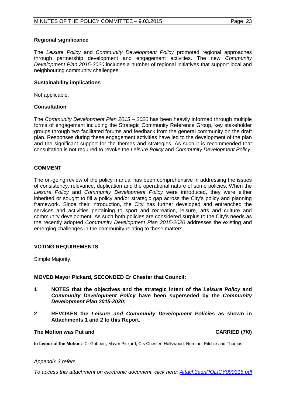## **Regional significance**

The *Leisure Policy* and *Community Development Policy* promoted regional approaches through partnership development and engagement activities. The new *Community Development Plan 2015-2020* includes a number of regional initiatives that support local and neighbouring community challenges.

#### **Sustainability implications**

Not applicable.

#### **Consultation**

The *Community Development Plan 2015 – 2020* has been heavily informed through multiple forms of engagement including the Strategic Community Reference Group, key stakeholder groups through two facilitated forums and feedback from the general community on the draft plan. Responses during these engagement activities have led to the development of the plan and the significant support for the themes and strategies. As such it is recommended that consultation is not required to revoke the *Leisure Policy* and *Community Development Policy*.

## **COMMENT**

The on-going review of the policy manual has been comprehensive in addressing the issues of consistency, relevance, duplication and the operational nature of some policies. When the *Leisure Policy* and *Community Development Policy* were introduced, they were either inherited or sought to fill a policy and/or strategic gap across the City's policy and planning framework. Since their introduction, the City has further developed and entrenched the services and activities pertaining to sport and recreation, leisure, arts and culture and community development. As such both policies are considered surplus to the City's needs as the recently adopted *Community Development Plan 2015-2020* addresses the existing and emerging challenges in the community relating to these matters.

#### **VOTING REQUIREMENTS**

Simple Majority.

## **MOVED Mayor Pickard, SECONDED Cr Chester that Council:**

- **1 NOTES that the objectives and the strategic intent of the** *Leisure Policy* **and**  *Community Development Policy* **have been superseded by the** *Community Development Plan 2015-2020***;**
- **2 REVOKES the** *Leisure and Community Development Policies* **as shown in Attachments 1 and 2 to this Report.**

#### **The Motion was Put and CARRIED (7/0)**

**In favour of the Motion:** Cr Gobbert, Mayor Pickard, Crs Chester, Hollywood, Norman, Ritchie and Thomas.

#### *Appendix 3 refers*

*To access this attachment on electronic document, click here: [Attach3agnPOLICY090315.pdf](http://www.joondalup.wa.gov.au/files/committees/POLI/2015/Attach3agnPOLICY090315.pdf)*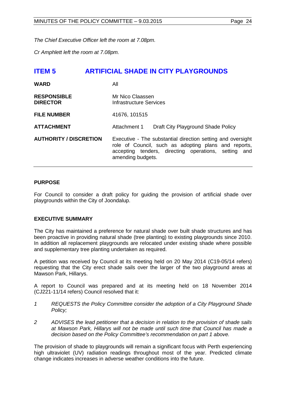*The Chief Executive Officer left the room at 7.08pm.*

*Cr Amphlett left the room at 7.08pm.*

<span id="page-23-0"></span>

| <b>ITEM 5</b>                         | <b>ARTIFICIAL SHADE IN CITY PLAYGROUNDS</b>                                                                                                                                                      |
|---------------------------------------|--------------------------------------------------------------------------------------------------------------------------------------------------------------------------------------------------|
| <b>WARD</b>                           | All                                                                                                                                                                                              |
| <b>RESPONSIBLE</b><br><b>DIRECTOR</b> | Mr Nico Claassen<br><b>Infrastructure Services</b>                                                                                                                                               |
| <b>FILE NUMBER</b>                    | 41676, 101515                                                                                                                                                                                    |
| <b>ATTACHMENT</b>                     | Draft City Playground Shade Policy<br>Attachment 1                                                                                                                                               |
| <b>AUTHORITY / DISCRETION</b>         | Executive - The substantial direction setting and oversight<br>role of Council, such as adopting plans and reports,<br>accepting tenders, directing operations, setting and<br>amending budgets. |

## **PURPOSE**

For Council to consider a draft policy for guiding the provision of artificial shade over playgrounds within the City of Joondalup.

## **EXECUTIVE SUMMARY**

The City has maintained a preference for natural shade over built shade structures and has been proactive in providing natural shade (tree planting) to existing playgrounds since 2010. In addition all replacement playgrounds are relocated under existing shade where possible and supplementary tree planting undertaken as required.

A petition was received by Council at its meeting held on 20 May 2014 (C19-05/14 refers) requesting that the City erect shade sails over the larger of the two playground areas at Mawson Park, Hillarys.

A report to Council was prepared and at its meeting held on 18 November 2014 (CJ221-11/14 refers) Council resolved that it:

- *1 REQUESTS the Policy Committee consider the adoption of a City Playground Shade Policy;*
- *2 ADVISES the lead petitioner that a decision in relation to the provision of shade sails at Mawson Park, Hillarys will not be made until such time that Council has made a decision based on the Policy Committee's recommendation on part 1 above.*

The provision of shade to playgrounds will remain a significant focus with Perth experiencing high ultraviolet (UV) radiation readings throughout most of the year. Predicted climate change indicates increases in adverse weather conditions into the future.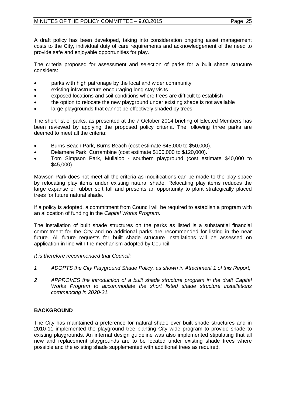A draft policy has been developed, taking into consideration ongoing asset management costs to the City, individual duty of care requirements and acknowledgement of the need to provide safe and enjoyable opportunities for play.

The criteria proposed for assessment and selection of parks for a built shade structure considers:

- parks with high patronage by the local and wider community
- existing infrastructure encouraging long stay visits
- exposed locations and soil conditions where trees are difficult to establish
- the option to relocate the new playground under existing shade is not available
- large playgrounds that cannot be effectively shaded by trees.

The short list of parks, as presented at the 7 October 2014 briefing of Elected Members has been reviewed by applying the proposed policy criteria. The following three parks are deemed to meet all the criteria:

- Burns Beach Park, Burns Beach (cost estimate \$45,000 to \$50,000).
- Delamere Park, Currambine (cost estimate \$100,000 to \$120,000).
- Tom Simpson Park, Mullaloo southern playground (cost estimate \$40,000 to \$45,000).

Mawson Park does not meet all the criteria as modifications can be made to the play space by relocating play items under existing natural shade. Relocating play items reduces the large expanse of rubber soft fall and presents an opportunity to plant strategically placed trees for future natural shade.

If a policy is adopted, a commitment from Council will be required to establish a program with an allocation of funding in the *Capital Works Program*.

The installation of built shade structures on the parks as listed is a substantial financial commitment for the City and no additional parks are recommended for listing in the near future. All future requests for built shade structure installations will be assessed on application in line with the mechanism adopted by Council.

*It is therefore recommended that Council:*

- *1 ADOPTS the City Playground Shade Policy, as shown in Attachment 1 of this Report;*
- *2 APPROVES the introduction of a built shade structure program in the draft Capital Works Program to accommodate the short listed shade structure installations commencing in 2020-21.*

## **BACKGROUND**

The City has maintained a preference for natural shade over built shade structures and in 2010-11 implemented the playground tree planting City wide program to provide shade to existing playgrounds. An internal design guideline was also implemented stipulating that all new and replacement playgrounds are to be located under existing shade trees where possible and the existing shade supplemented with additional trees as required.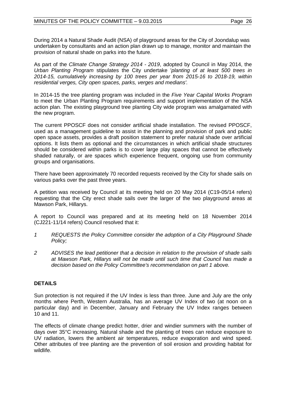During 2014 a Natural Shade Audit (NSA) of playground areas for the City of Joondalup was undertaken by consultants and an action plan drawn up to manage, monitor and maintain the provision of natural shade on parks into the future.

As part of the *Climate Change Strategy 2014 - 2019*, adopted by Council in May 2014, the *Urban Planting Program* stipulates the City undertake '*planting of at least 500 trees in 2014-15, cumulatively increasing by 100 trees per year from 2015-16 to 2018-19, within residential verges, City open spaces, parks, verges and medians'.*

In 2014-15 the tree planting program was included in the *Five Year Capital Works Program* to meet the Urban Planting Program requirements and support implementation of the NSA action plan. The existing playground tree planting City wide program was amalgamated with the new program.

The current PPOSCF does not consider artificial shade installation. The revised PPOSCF, used as a management guideline to assist in the planning and provision of park and public open space assets, provides a draft position statement to prefer natural shade over artificial options. It lists them as optional and the circumstances in which artificial shade structures should be considered within parks is to cover large play spaces that cannot be effectively shaded naturally, or are spaces which experience frequent, ongoing use from community groups and organisations.

There have been approximately 70 recorded requests received by the City for shade sails on various parks over the past three years.

A petition was received by Council at its meeting held on 20 May 2014 (C19-05/14 refers) requesting that the City erect shade sails over the larger of the two playground areas at Mawson Park, Hillarys.

A report to Council was prepared and at its meeting held on 18 November 2014 (CJ221-11/14 refers) Council resolved that it:

- *1 REQUESTS the Policy Committee consider the adoption of a City Playground Shade Policy;*
- *2 ADVISES the lead petitioner that a decision in relation to the provision of shade sails at Mawson Park, Hillarys will not be made until such time that Council has made a decision based on the Policy Committee's recommendation on part 1 above.*

## **DETAILS**

Sun protection is not required if the UV Index is less than three. June and July are the only months where Perth, Western Australia, has an average UV Index of two (at noon on a particular day) and in December, January and February the UV Index ranges between 10 and 11.

The effects of climate change predict hotter, drier and windier summers with the number of days over 35°C increasing. Natural shade and the planting of trees can reduce exposure to UV radiation, lowers the ambient air temperatures, reduce evaporation and wind speed. Other attributes of tree planting are the prevention of soil erosion and providing habitat for wildlife.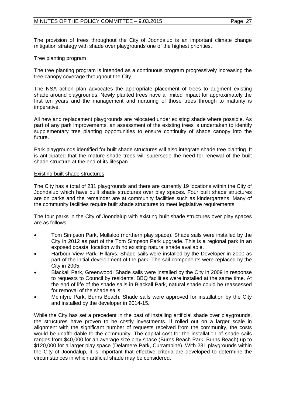The provision of trees throughout the City of Joondalup is an important climate change mitigation strategy with shade over playgrounds one of the highest priorities.

#### Tree planting program

The tree planting program is intended as a continuous program progressively increasing the tree canopy coverage throughout the City.

The NSA action plan advocates the appropriate placement of trees to augment existing shade around playgrounds. Newly planted trees have a limited impact for approximately the first ten years and the management and nurturing of those trees through to maturity is imperative.

All new and replacement playgrounds are relocated under existing shade where possible. As part of any park improvements, an assessment of the existing trees is undertaken to identify supplementary tree planting opportunities to ensure continuity of shade canopy into the future.

Park playgrounds identified for built shade structures will also integrate shade tree planting. It is anticipated that the mature shade trees will supersede the need for renewal of the built shade structure at the end of its lifespan.

#### Existing built shade structures

The City has a total of 231 playgrounds and there are currently 19 locations within the City of Joondalup which have built shade structures over play spaces. Four built shade structures are on parks and the remainder are at community facilities such as kindergartens. Many of the community facilities require built shade structures to meet legislative requirements.

The four parks in the City of Joondalup with existing built shade structures over play spaces are as follows:

- Tom Simpson Park, Mullaloo (northern play space). Shade sails were installed by the City in 2012 as part of the Tom Simpson Park upgrade. This is a regional park in an exposed coastal location with no existing natural shade available.
- Harbour View Park, Hillarys. Shade sails were installed by the Developer in 2000 as part of the initial development of the park. The sail components were replaced by the City in 2005.
- Blackall Park, Greenwood. Shade sails were installed by the City in 2009 in response to requests to Council by residents. BBQ facilities were installed at the same time. At the end of life of the shade sails in Blackall Park, natural shade could be reassessed for removal of the shade sails.
- McIntyre Park, Burns Beach. Shade sails were approved for installation by the City and installed by the developer in 2014-15.

While the City has set a precedent in the past of installing artificial shade over playgrounds, the structures have proven to be costly investments. If rolled out on a larger scale in alignment with the significant number of requests received from the community, the costs would be unaffordable to the community. The capital cost for the installation of shade sails ranges from \$40,000 for an average size play space (Burns Beach Park, Burns Beach) up to \$120,000 for a larger play space (Delamere Park, Currambine). With 231 playgrounds within the City of Joondalup, it is important that effective criteria are developed to determine the circumstances in which artificial shade may be considered.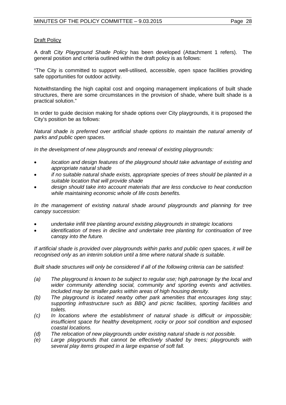## Draft Policy

A draft *City Playground Shade Policy* has been developed (Attachment 1 refers). The general position and criteria outlined within the draft policy is as follows:

"The City is committed to support well-utilised, accessible, open space facilities providing safe opportunities for outdoor activity.

Notwithstanding the high capital cost and ongoing management implications of built shade structures, there are some circumstances in the provision of shade, where built shade is a practical solution."

In order to guide decision making for shade options over City playgrounds, it is proposed the City's position be as follows:

*Natural shade is preferred over artificial shade options to maintain the natural amenity of parks and public open spaces.*

*In the development of new playgrounds and renewal of existing playgrounds:*

- *location and design features of the playground should take advantage of existing and appropriate natural shade*
- *if no suitable natural shade exists, appropriate species of trees should be planted in a suitable location that will provide shade*
- *design should take into account materials that are less conducive to heat conduction while maintaining economic whole of life costs benefits.*

*In the management of existing natural shade around playgrounds and planning for tree canopy succession:*

- *undertake infill tree planting around existing playgrounds in strategic locations*
- *identification of trees in decline and undertake tree planting for continuation of tree canopy into the future.*

*If artificial shade is provided over playgrounds within parks and public open spaces, it will be recognised only as an interim solution until a time where natural shade is suitable.* 

*Built shade structures will only be considered if all of the following criteria can be satisfied:*

- *(a) The playground is known to be subject to regular use; high patronage by the local and wider community attending social, community and sporting events and activities. Included may be smaller parks within areas of high housing density.*
- *(b) The playground is located nearby other park amenities that encourages long stay; supporting infrastructure such as BBQ and picnic facilities, sporting facilities and toilets.*
- *(c) In locations where the establishment of natural shade is difficult or impossible; insufficient space for healthy development, rocky or poor soil condition and exposed coastal locations.*
- *(d) The relocation of new playgrounds under existing natural shade is not possible.*
- *(e) Large playgrounds that cannot be effectively shaded by trees; playgrounds with several play items grouped in a large expanse of soft fall.*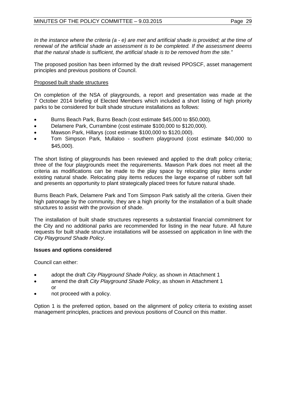*In the instance where the criteria (a - e) are met and artificial shade is provided; at the time of renewal of the artificial shade an assessment is to be completed. If the assessment deems that the natural shade is sufficient, the artificial shade is to be removed from the site."* 

The proposed position has been informed by the draft revised PPOSCF, asset management principles and previous positions of Council.

## Proposed built shade structures

On completion of the NSA of playgrounds, a report and presentation was made at the 7 October 2014 briefing of Elected Members which included a short listing of high priority parks to be considered for built shade structure installations as follows:

- Burns Beach Park, Burns Beach (cost estimate \$45,000 to \$50,000).
- Delamere Park, Currambine (cost estimate \$100,000 to \$120,000).
- Mawson Park, Hillarys (cost estimate \$100,000 to \$120,000).
- Tom Simpson Park, Mullaloo southern playground (cost estimate \$40,000 to \$45,000).

The short listing of playgrounds has been reviewed and applied to the draft policy criteria; three of the four playgrounds meet the requirements. Mawson Park does not meet all the criteria as modifications can be made to the play space by relocating play items under existing natural shade. Relocating play items reduces the large expanse of rubber soft fall and presents an opportunity to plant strategically placed trees for future natural shade.

Burns Beach Park, Delamere Park and Tom Simpson Park satisfy all the criteria. Given their high patronage by the community, they are a high priority for the installation of a built shade structures to assist with the provision of shade.

The installation of built shade structures represents a substantial financial commitment for the City and no additional parks are recommended for listing in the near future. All future requests for built shade structure installations will be assessed on application in line with the *City Playground Shade Policy*.

## **Issues and options considered**

Council can either:

- adopt the draft *City Playground Shade Policy,* as shown in Attachment 1
- amend the draft *City Playground Shade Policy*, as shown in Attachment 1 or
- not proceed with a policy.

Option 1 is the preferred option, based on the alignment of policy criteria to existing asset management principles, practices and previous positions of Council on this matter.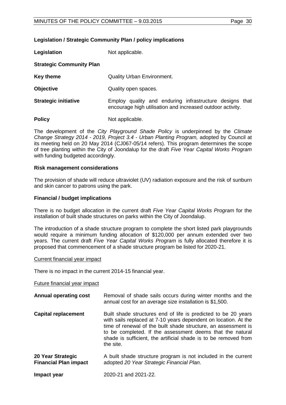## **Legislation / Strategic Community Plan / policy implications**

**Legislation** Not applicable.

## **Strategic Community Plan**

**Key theme Cuality Urban Environment.** 

- **Objective** Quality open spaces.
- **Strategic initiative** Employ quality and enduring infrastructure designs that encourage high utilisation and increased outdoor activity.
- **Policy** Not applicable.

The development of the *City Playground Shade Policy* is underpinned by the *Climate Change Strategy 2014 - 2019, Project 3.4 - Urban Planting Program,* adopted by Council at its meeting held on 20 May 2014 (CJ067-05/14 refers). This program determines the scope of tree planting within the City of Joondalup for the draft *Five Year Capital Works Program* with funding budgeted accordingly.

## **Risk management considerations**

The provision of shade will reduce ultraviolet (UV) radiation exposure and the risk of sunburn and skin cancer to patrons using the park.

## **Financial / budget implications**

There is no budget allocation in the current draft *Five Year Capital Works Program* for the installation of built shade structures on parks within the City of Joondalup.

The introduction of a shade structure program to complete the short listed park playgrounds would require a minimum funding allocation of \$120,000 per annum extended over two years. The current draft *Five Year Capital Works Program* is fully allocated therefore it is proposed that commencement of a shade structure program be listed for 2020-21.

## Current financial year impact

There is no impact in the current 2014-15 financial year.

## Future financial year impact

- **Annual operating cost** Removal of shade sails occurs during winter months and the annual cost for an average size installation is \$1,500.
- **Capital replacement** Built shade structures end of life is predicted to be 20 years with sails replaced at 7-10 years dependent on location. At the time of renewal of the built shade structure, an assessment is to be completed. If the assessment deems that the natural shade is sufficient, the artificial shade is to be removed from the site.
- **20 Year Strategic Financial Plan impact**  A built shade structure program is not included in the current adopted *20 Year Strategic Financial Plan*.
- **Impact year** 2020-21 and 2021-22.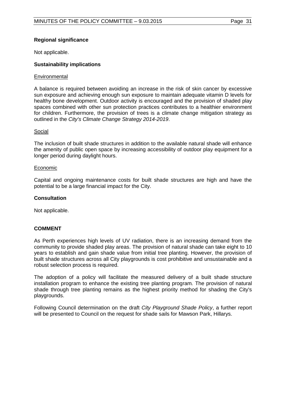## **Regional significance**

Not applicable.

## **Sustainability implications**

## **Environmental**

A balance is required between avoiding an increase in the risk of skin cancer by excessive sun exposure and achieving enough sun exposure to maintain adequate vitamin D levels for healthy bone development. Outdoor activity is encouraged and the provision of shaded play spaces combined with other sun protection practices contributes to a healthier environment for children. Furthermore, the provision of trees is a climate change mitigation strategy as outlined in the *City's Climate Change Strategy 2014-2019*.

## Social

The inclusion of built shade structures in addition to the available natural shade will enhance the amenity of public open space by increasing accessibility of outdoor play equipment for a longer period during daylight hours.

## Economic

Capital and ongoing maintenance costs for built shade structures are high and have the potential to be a large financial impact for the City.

## **Consultation**

Not applicable.

## **COMMENT**

As Perth experiences high levels of UV radiation, there is an increasing demand from the community to provide shaded play areas. The provision of natural shade can take eight to 10 years to establish and gain shade value from initial tree planting. However, the provision of built shade structures across all City playgrounds is cost prohibitive and unsustainable and a robust selection process is required.

The adoption of a policy will facilitate the measured delivery of a built shade structure installation program to enhance the existing tree planting program*.* The provision of natural shade through tree planting remains as the highest priority method for shading the City's playgrounds.

Following Council determination on the draft *City Playground Shade Policy*, a further report will be presented to Council on the request for shade sails for Mawson Park, Hillarys.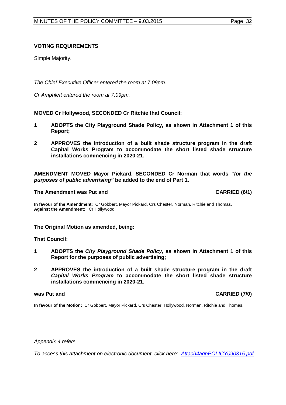## **VOTING REQUIREMENTS**

Simple Majority.

*The Chief Executive Officer entered the room at 7.09pm.*

*Cr Amphlett entered the room at 7.09pm.*

**MOVED Cr Hollywood, SECONDED Cr Ritchie that Council:**

- **1 ADOPTS the City Playground Shade Policy, as shown in Attachment 1 of this Report;**
- **2 APPROVES the introduction of a built shade structure program in the draft Capital Works Program to accommodate the short listed shade structure installations commencing in 2020-21.**

**AMENDMENT MOVED Mayor Pickard, SECONDED Cr Norman that words** *"for the purposes of public advertising"* **be added to the end of Part 1.**

#### **The Amendment was Put and CARRIED (6/1) CARRIED (6/1)**

**In favour of the Amendment:** Cr Gobbert, Mayor Pickard, Crs Chester, Norman, Ritchie and Thomas. **Against the Amendment:** Cr Hollywood.

**The Original Motion as amended, being:**

**That Council:**

- **1 ADOPTS the** *City Playground Shade Policy***, as shown in Attachment 1 of this Report for the purposes of public advertising;**
- **2 APPROVES the introduction of a built shade structure program in the draft**  *Capital Works Program* **to accommodate the short listed shade structure installations commencing in 2020-21.**

## **was Put and CARRIED (7/0)**

**In favour of the Motion:** Cr Gobbert, Mayor Pickard, Crs Chester, Hollywood, Norman, Ritchie and Thomas.

*Appendix 4 refers*

*To access this attachment on electronic document, cli[ck here: Attach4agnPOLICY090315.pdf](http://www.joondalup.wa.gov.au/files/committees/POLI/2015/Attach4agnPOLICY090315.pdf)*